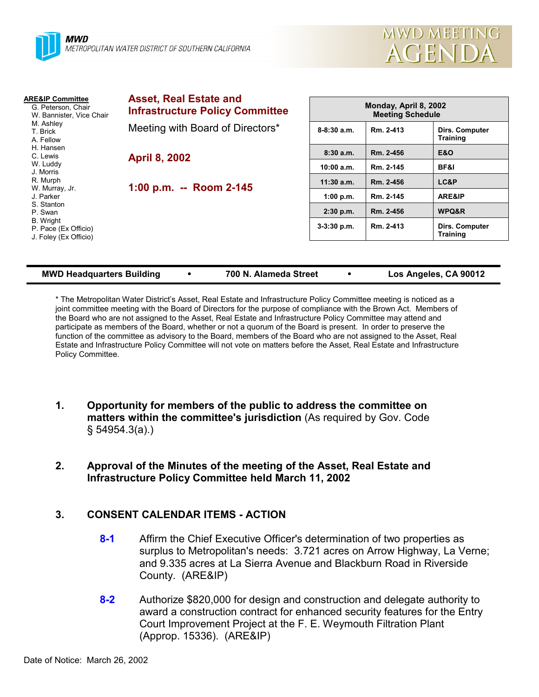

| <b>Asset, Real Estate and</b><br><b>ARE&amp;IP Committee</b><br>G. Peterson, Chair<br><b>Infrastructure Policy Committee</b><br>W. Bannister, Vice Chair<br>M. Ashley |               | Monday, April 8, 2002<br><b>Meeting Schedule</b> |                                   |  |
|-----------------------------------------------------------------------------------------------------------------------------------------------------------------------|---------------|--------------------------------------------------|-----------------------------------|--|
| Meeting with Board of Directors*                                                                                                                                      | $8-8:30$ a.m. | Rm. 2-413                                        | Dirs. Computer<br><b>Training</b> |  |
| <b>April 8, 2002</b><br>1:00 p.m. $-$ Room 2-145                                                                                                                      | 8:30a.m.      | Rm. 2-456                                        | <b>E&amp;O</b>                    |  |
|                                                                                                                                                                       | 10:00 a.m.    | Rm. 2-145                                        | <b>BF&amp;I</b>                   |  |
|                                                                                                                                                                       | $11:30$ a.m.  | Rm. 2-456                                        | LC&P                              |  |
|                                                                                                                                                                       | 1:00 p.m.     | Rm. 2-145                                        | ARE&IP                            |  |
|                                                                                                                                                                       | $2:30$ p.m.   | Rm. 2-456                                        | <b>WPQ&amp;R</b>                  |  |
|                                                                                                                                                                       | $3-3:30$ p.m. | Rm. 2-413                                        | Dirs. Computer<br><b>Training</b> |  |
|                                                                                                                                                                       |               |                                                  |                                   |  |

#### **MWD Headquarters Building** y **700 N. Alameda Street** y **Los Angeles, CA 90012**

\* The Metropolitan Water District's Asset, Real Estate and Infrastructure Policy Committee meeting is noticed as a joint committee meeting with the Board of Directors for the purpose of compliance with the Brown Act. Members of the Board who are not assigned to the Asset, Real Estate and Infrastructure Policy Committee may attend and participate as members of the Board, whether or not a quorum of the Board is present. In order to preserve the function of the committee as advisory to the Board, members of the Board who are not assigned to the Asset, Real Estate and Infrastructure Policy Committee will not vote on matters before the Asset, Real Estate and Infrastructure Policy Committee.

- **1. Opportunity for members of the public to address the committee on matters within the committee's jurisdiction** (As required by Gov. Code § 54954.3(a).)
- **2. Approval of the Minutes of the meeting of the Asset, Real Estate and Infrastructure Policy Committee held March 11, 2002**

# **3. CONSENT CALENDAR ITEMS - ACTION**

- **8-1** Affirm the Chief Executive Officer's determination of two properties as surplus to Metropolitan's needs: 3.721 acres on Arrow Highway, La Verne; and 9.335 acres at La Sierra Avenue and Blackburn Road in Riverside County. (ARE&IP)
- **8-2** Authorize \$820,000 for design and construction and delegate authority to award a construction contract for enhanced security features for the Entry Court Improvement Project at the F. E. Weymouth Filtration Plant (Approp. 15336). (ARE&IP)